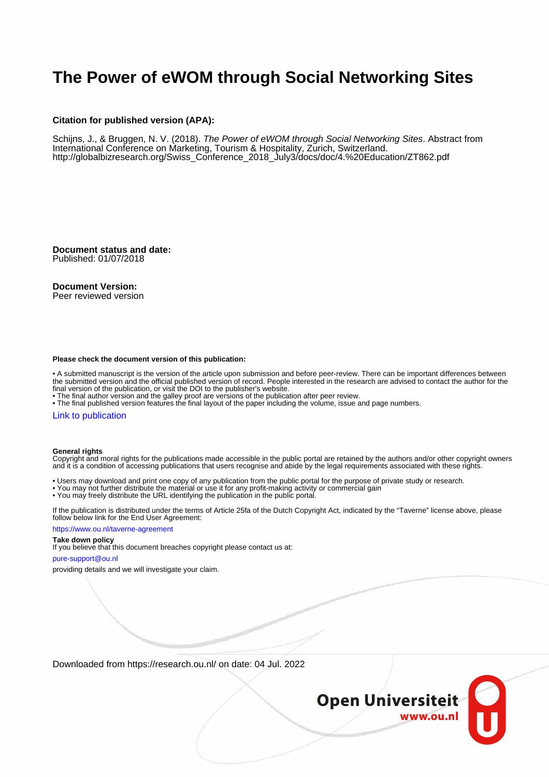# **The Power of eWOM through Social Networking Sites**

#### **Citation for published version (APA):**

Schijns, J., & Bruggen, N. V. (2018). The Power of eWOM through Social Networking Sites. Abstract from International Conference on Marketing, Tourism & Hospitality, Zurich, Switzerland. [http://globalbizresearch.org/Swiss\\_Conference\\_2018\\_July3/docs/doc/4.%20Education/ZT862.pdf](http://globalbizresearch.org/Swiss_Conference_2018_July3/docs/doc/4.%20Education/ZT862.pdf)

**Document status and date:** Published: 01/07/2018

#### **Document Version:**

Peer reviewed version

#### **Please check the document version of this publication:**

• A submitted manuscript is the version of the article upon submission and before peer-review. There can be important differences between the submitted version and the official published version of record. People interested in the research are advised to contact the author for the final version of the publication, or visit the DOI to the publisher's website.

• The final author version and the galley proof are versions of the publication after peer review.

• The final published version features the final layout of the paper including the volume, issue and page numbers.

#### [Link to publication](https://research.ou.nl/en/publications/e1acf2c0-bfad-4068-8b27-2bc00e444c20)

#### **General rights**

Copyright and moral rights for the publications made accessible in the public portal are retained by the authors and/or other copyright owners and it is a condition of accessing publications that users recognise and abide by the legal requirements associated with these rights.

- Users may download and print one copy of any publication from the public portal for the purpose of private study or research.
- You may not further distribute the material or use it for any profit-making activity or commercial gain
- You may freely distribute the URL identifying the publication in the public portal.

If the publication is distributed under the terms of Article 25fa of the Dutch Copyright Act, indicated by the "Taverne" license above, please follow below link for the End User Agreement:

#### https://www.ou.nl/taverne-agreement

#### **Take down policy**

If you believe that this document breaches copyright please contact us at:

#### pure-support@ou.nl

providing details and we will investigate your claim.

Downloaded from https://research.ou.nl/ on date: 04 Jul. 2022

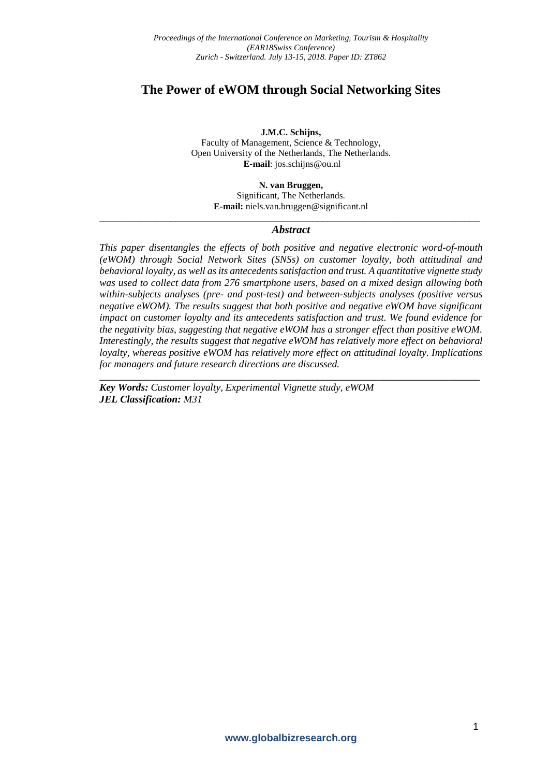## **The Power of eWOM through Social Networking Sites**

**J.M.C. Schijns,**

Faculty of Management, Science & Technology, Open University of the Netherlands, The Netherlands. **E-mail**: jos.schijns@ou.nl

> **N. van Bruggen,**  Significant, The Netherlands. **E-mail:** niels.van.bruggen@significant.nl

## \_\_\_\_\_\_\_\_\_\_\_\_\_\_\_\_\_\_\_\_\_\_\_\_\_\_\_\_\_\_\_\_\_\_\_\_\_\_\_\_\_\_\_\_\_\_\_\_\_\_\_\_\_\_\_\_\_\_\_\_\_\_\_\_\_\_\_\_\_\_\_\_\_\_\_ *Abstract*

*This paper disentangles the effects of both positive and negative electronic word-of-mouth (eWOM) through Social Network Sites (SNSs) on customer loyalty, both attitudinal and behavioral loyalty, as well as its antecedents satisfaction and trust. A quantitative vignette study was used to collect data from 276 smartphone users, based on a mixed design allowing both within-subjects analyses (pre- and post-test) and between-subjects analyses (positive versus negative eWOM). The results suggest that both positive and negative eWOM have significant impact on customer loyalty and its antecedents satisfaction and trust. We found evidence for the negativity bias, suggesting that negative eWOM has a stronger effect than positive eWOM. Interestingly, the results suggest that negative eWOM has relatively more effect on behavioral loyalty, whereas positive eWOM has relatively more effect on attitudinal loyalty. Implications for managers and future research directions are discussed.*

**\_\_\_\_\_\_\_\_\_\_\_\_\_\_\_\_\_\_\_\_\_\_\_\_\_\_\_\_\_\_\_\_\_\_\_\_\_\_\_\_\_\_\_\_\_\_\_\_\_\_\_\_\_\_\_\_\_\_\_\_\_\_\_\_\_\_\_\_\_\_\_\_\_\_\_**

*Key Words: Customer loyalty, Experimental Vignette study, eWOM JEL Classification: M31*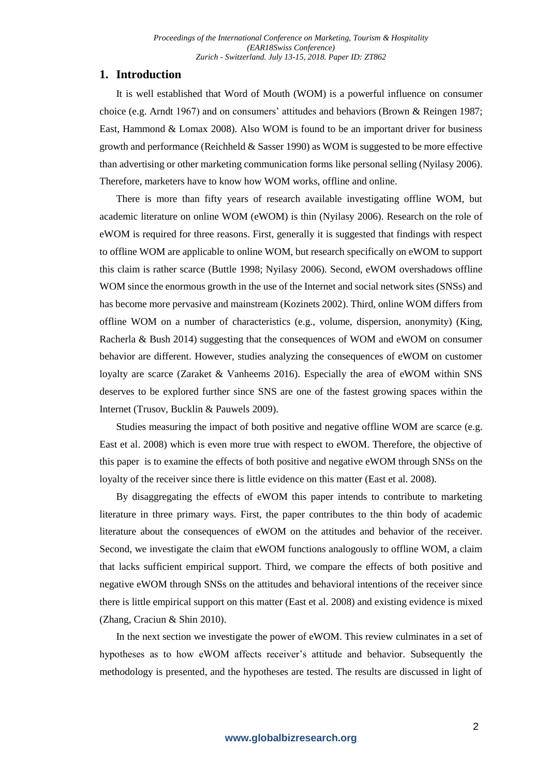## **1. Introduction**

It is well established that Word of Mouth (WOM) is a powerful influence on consumer choice (e.g. Arndt 1967) and on consumers' attitudes and behaviors (Brown & Reingen 1987; East, Hammond & Lomax 2008). Also WOM is found to be an important driver for business growth and performance (Reichheld & Sasser 1990) as WOM is suggested to be more effective than advertising or other marketing communication forms like personal selling (Nyilasy 2006). Therefore, marketers have to know how WOM works, offline and online.

There is more than fifty years of research available investigating offline WOM, but academic literature on online WOM (eWOM) is thin (Nyilasy 2006). Research on the role of eWOM is required for three reasons. First, generally it is suggested that findings with respect to offline WOM are applicable to online WOM, but research specifically on eWOM to support this claim is rather scarce (Buttle 1998; Nyilasy 2006). Second, eWOM overshadows offline WOM since the enormous growth in the use of the Internet and social network sites (SNSs) and has become more pervasive and mainstream (Kozinets 2002). Third, online WOM differs from offline WOM on a number of characteristics (e.g., volume, dispersion, anonymity) (King, Racherla & Bush 2014) suggesting that the consequences of WOM and eWOM on consumer behavior are different. However, studies analyzing the consequences of eWOM on customer loyalty are scarce (Zaraket & Vanheems 2016). Especially the area of eWOM within SNS deserves to be explored further since SNS are one of the fastest growing spaces within the Internet (Trusov, Bucklin & Pauwels 2009).

Studies measuring the impact of both positive and negative offline WOM are scarce (e.g. East et al. 2008) which is even more true with respect to eWOM. Therefore, the objective of this paper is to examine the effects of both positive and negative eWOM through SNSs on the loyalty of the receiver since there is little evidence on this matter (East et al. 2008).

By disaggregating the effects of eWOM this paper intends to contribute to marketing literature in three primary ways. First, the paper contributes to the thin body of academic literature about the consequences of eWOM on the attitudes and behavior of the receiver. Second, we investigate the claim that eWOM functions analogously to offline WOM, a claim that lacks sufficient empirical support. Third, we compare the effects of both positive and negative eWOM through SNSs on the attitudes and behavioral intentions of the receiver since there is little empirical support on this matter (East et al. 2008) and existing evidence is mixed (Zhang, Craciun & Shin 2010).

In the next section we investigate the power of eWOM. This review culminates in a set of hypotheses as to how eWOM affects receiver's attitude and behavior. Subsequently the methodology is presented, and the hypotheses are tested. The results are discussed in light of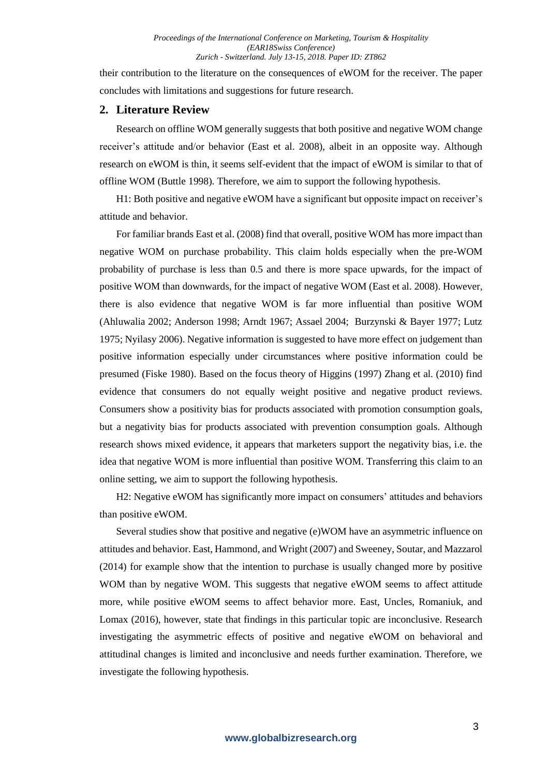their contribution to the literature on the consequences of eWOM for the receiver. The paper concludes with limitations and suggestions for future research.

### **2. Literature Review**

Research on offline WOM generally suggests that both positive and negative WOM change receiver's attitude and/or behavior (East et al. 2008), albeit in an opposite way. Although research on eWOM is thin, it seems self-evident that the impact of eWOM is similar to that of offline WOM (Buttle 1998). Therefore, we aim to support the following hypothesis.

H1: Both positive and negative eWOM have a significant but opposite impact on receiver's attitude and behavior.

For familiar brands East et al. (2008) find that overall, positive WOM has more impact than negative WOM on purchase probability. This claim holds especially when the pre-WOM probability of purchase is less than 0.5 and there is more space upwards, for the impact of positive WOM than downwards, for the impact of negative WOM (East et al. 2008). However, there is also evidence that negative WOM is far more influential than positive WOM (Ahluwalia 2002; Anderson 1998; Arndt 1967; Assael 2004; Burzynski & Bayer 1977; Lutz 1975; Nyilasy 2006). Negative information is suggested to have more effect on judgement than positive information especially under circumstances where positive information could be presumed (Fiske 1980). Based on the focus theory of Higgins (1997) Zhang et al. (2010) find evidence that consumers do not equally weight positive and negative product reviews. Consumers show a positivity bias for products associated with promotion consumption goals, but a negativity bias for products associated with prevention consumption goals. Although research shows mixed evidence, it appears that marketers support the negativity bias, i.e. the idea that negative WOM is more influential than positive WOM. Transferring this claim to an online setting, we aim to support the following hypothesis.

H2: Negative eWOM has significantly more impact on consumers' attitudes and behaviors than positive eWOM.

Several studies show that positive and negative (e)WOM have an asymmetric influence on attitudes and behavior. East, Hammond, and Wright (2007) and Sweeney, Soutar, and Mazzarol (2014) for example show that the intention to purchase is usually changed more by positive WOM than by negative WOM. This suggests that negative eWOM seems to affect attitude more, while positive eWOM seems to affect behavior more. East, Uncles, Romaniuk, and Lomax (2016), however, state that findings in this particular topic are inconclusive. Research investigating the asymmetric effects of positive and negative eWOM on behavioral and attitudinal changes is limited and inconclusive and needs further examination. Therefore, we investigate the following hypothesis.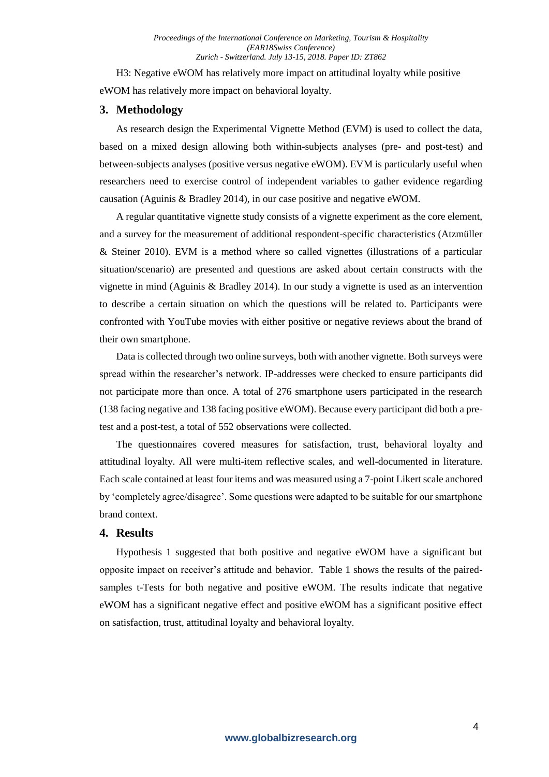H3: Negative eWOM has relatively more impact on attitudinal loyalty while positive eWOM has relatively more impact on behavioral loyalty.

### **3. Methodology**

As research design the Experimental Vignette Method (EVM) is used to collect the data, based on a mixed design allowing both within-subjects analyses (pre- and post-test) and between-subjects analyses (positive versus negative eWOM). EVM is particularly useful when researchers need to exercise control of independent variables to gather evidence regarding causation (Aguinis & Bradley 2014), in our case positive and negative eWOM.

A regular quantitative vignette study consists of a vignette experiment as the core element, and a survey for the measurement of additional respondent-specific characteristics (Atzmüller & Steiner 2010). EVM is a method where so called vignettes (illustrations of a particular situation/scenario) are presented and questions are asked about certain constructs with the vignette in mind (Aguinis & Bradley 2014). In our study a vignette is used as an intervention to describe a certain situation on which the questions will be related to. Participants were confronted with YouTube movies with either positive or negative reviews about the brand of their own smartphone.

Data is collected through two online surveys, both with another vignette. Both surveys were spread within the researcher's network. IP-addresses were checked to ensure participants did not participate more than once. A total of 276 smartphone users participated in the research (138 facing negative and 138 facing positive eWOM). Because every participant did both a pretest and a post-test, a total of 552 observations were collected.

The questionnaires covered measures for satisfaction, trust, behavioral loyalty and attitudinal loyalty. All were multi-item reflective scales, and well-documented in literature. Each scale contained at least four items and was measured using a 7-point Likert scale anchored by 'completely agree/disagree'. Some questions were adapted to be suitable for our smartphone brand context.

#### **4. Results**

Hypothesis 1 suggested that both positive and negative eWOM have a significant but opposite impact on receiver's attitude and behavior. Table 1 shows the results of the pairedsamples t-Tests for both negative and positive eWOM. The results indicate that negative eWOM has a significant negative effect and positive eWOM has a significant positive effect on satisfaction, trust, attitudinal loyalty and behavioral loyalty.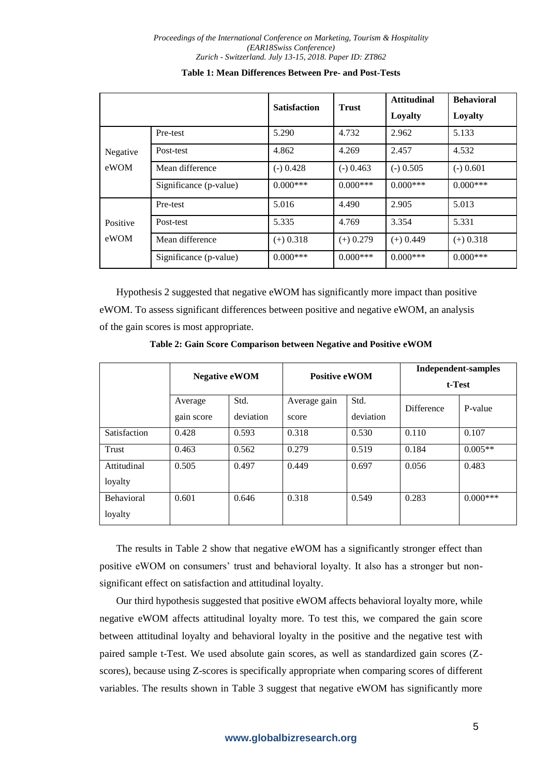|                  |                        | <b>Satisfaction</b> | <b>Trust</b> | <b>Attitudinal</b><br>Loyalty | <b>Behavioral</b><br>Loyalty |
|------------------|------------------------|---------------------|--------------|-------------------------------|------------------------------|
| Negative<br>eWOM | Pre-test               | 5.290               | 4.732        | 2.962                         | 5.133                        |
|                  | Post-test              | 4.862               | 4.269        | 2.457                         | 4.532                        |
|                  | Mean difference        | $(-) 0.428$         | $(-)$ 0.463  | $(-)$ 0.505                   | $(-)$ 0.601                  |
|                  | Significance (p-value) | $0.000***$          | $0.000***$   | $0.000***$                    | $0.000***$                   |
| Positive<br>eWOM | Pre-test               | 5.016               | 4.490        | 2.905                         | 5.013                        |
|                  | Post-test              | 5.335               | 4.769        | 3.354                         | 5.331                        |
|                  | Mean difference        | $(+)$ 0.318         | $(+)$ 0.279  | $(+)$ 0.449                   | $(+)$ 0.318                  |
|                  | Significance (p-value) | $0.000***$          | $0.000***$   | $0.000***$                    | $0.000***$                   |

#### **Table 1: Mean Differences Between Pre- and Post-Tests**

Hypothesis 2 suggested that negative eWOM has significantly more impact than positive eWOM. To assess significant differences between positive and negative eWOM, an analysis of the gain scores is most appropriate.

**Table 2: Gain Score Comparison between Negative and Positive eWOM**

|                        | <b>Negative eWOM</b>  |                   | <b>Positive eWOM</b>  |                   | Independent-samples<br>t-Test |            |
|------------------------|-----------------------|-------------------|-----------------------|-------------------|-------------------------------|------------|
|                        | Average<br>gain score | Std.<br>deviation | Average gain<br>score | Std.<br>deviation | <b>Difference</b>             | P-value    |
| Satisfaction           | 0.428                 | 0.593             | 0.318                 | 0.530             | 0.110                         | 0.107      |
| Trust                  | 0.463                 | 0.562             | 0.279                 | 0.519             | 0.184                         | $0.005**$  |
| Attitudinal<br>loyalty | 0.505                 | 0.497             | 0.449                 | 0.697             | 0.056                         | 0.483      |
| Behavioral<br>loyalty  | 0.601                 | 0.646             | 0.318                 | 0.549             | 0.283                         | $0.000***$ |

The results in Table 2 show that negative eWOM has a significantly stronger effect than positive eWOM on consumers' trust and behavioral loyalty. It also has a stronger but nonsignificant effect on satisfaction and attitudinal loyalty.

Our third hypothesis suggested that positive eWOM affects behavioral loyalty more, while negative eWOM affects attitudinal loyalty more. To test this, we compared the gain score between attitudinal loyalty and behavioral loyalty in the positive and the negative test with paired sample t-Test. We used absolute gain scores, as well as standardized gain scores (Zscores), because using Z-scores is specifically appropriate when comparing scores of different variables. The results shown in Table 3 suggest that negative eWOM has significantly more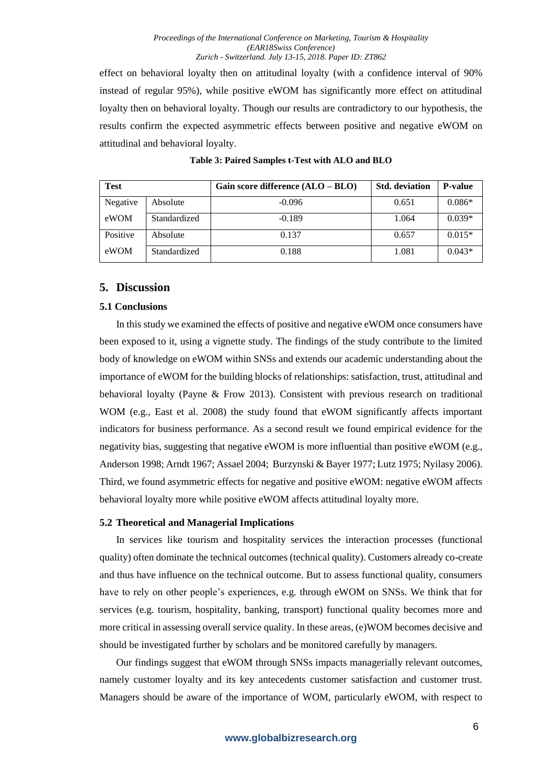effect on behavioral loyalty then on attitudinal loyalty (with a confidence interval of 90% instead of regular 95%), while positive eWOM has significantly more effect on attitudinal loyalty then on behavioral loyalty. Though our results are contradictory to our hypothesis, the results confirm the expected asymmetric effects between positive and negative eWOM on attitudinal and behavioral loyalty.

| <b>Test</b> |              | Gain score difference $(ALO - BLO)$ | <b>Std.</b> deviation | <b>P-value</b> |
|-------------|--------------|-------------------------------------|-----------------------|----------------|
| Negative    | Absolute     | $-0.096$                            | 0.651                 | $0.086*$       |
| eWOM        | Standardized | $-0.189$                            | 1.064                 | $0.039*$       |
| Positive    | Absolute     | 0.137                               | 0.657                 | $0.015*$       |
| eWOM        | Standardized | 0.188                               | 1.081                 | $0.043*$       |

## **Table 3: Paired Samples t-Test with ALO and BLO**

## **5. Discussion**

## **5.1 Conclusions**

In this study we examined the effects of positive and negative eWOM once consumers have been exposed to it, using a vignette study. The findings of the study contribute to the limited body of knowledge on eWOM within SNSs and extends our academic understanding about the importance of eWOM for the building blocks of relationships: satisfaction, trust, attitudinal and behavioral loyalty (Payne & Frow 2013). Consistent with previous research on traditional WOM (e.g., East et al. 2008) the study found that eWOM significantly affects important indicators for business performance. As a second result we found empirical evidence for the negativity bias, suggesting that negative eWOM is more influential than positive eWOM (e.g., Anderson 1998; Arndt 1967; Assael 2004; Burzynski & Bayer 1977; Lutz 1975; Nyilasy 2006). Third, we found asymmetric effects for negative and positive eWOM: negative eWOM affects behavioral loyalty more while positive eWOM affects attitudinal loyalty more.

## **5.2 Theoretical and Managerial Implications**

In services like tourism and hospitality services the interaction processes (functional quality) often dominate the technical outcomes (technical quality). Customers already co-create and thus have influence on the technical outcome. But to assess functional quality, consumers have to rely on other people's experiences, e.g. through eWOM on SNSs. We think that for services (e.g. tourism, hospitality, banking, transport) functional quality becomes more and more critical in assessing overall service quality. In these areas, (e)WOM becomes decisive and should be investigated further by scholars and be monitored carefully by managers.

Our findings suggest that eWOM through SNSs impacts managerially relevant outcomes, namely customer loyalty and its key antecedents customer satisfaction and customer trust. Managers should be aware of the importance of WOM, particularly eWOM, with respect to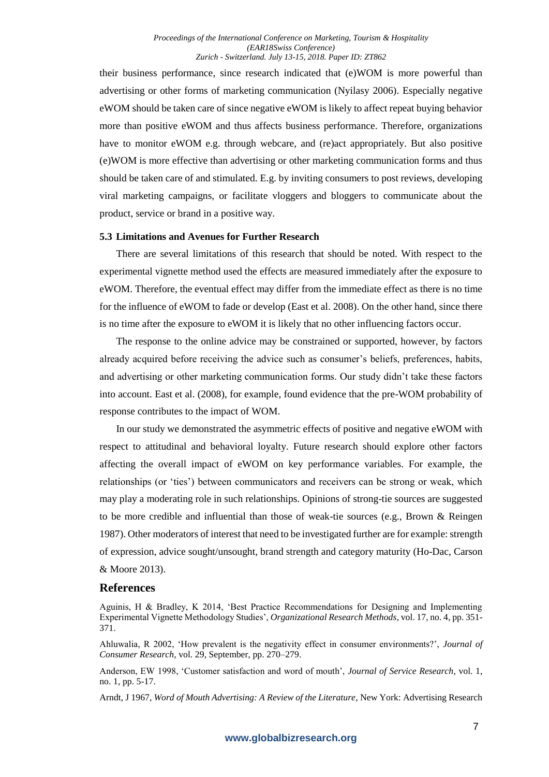their business performance, since research indicated that (e)WOM is more powerful than advertising or other forms of marketing communication (Nyilasy 2006). Especially negative eWOM should be taken care of since negative eWOM is likely to affect repeat buying behavior more than positive eWOM and thus affects business performance. Therefore, organizations have to monitor eWOM e.g. through webcare, and (re)act appropriately. But also positive (e)WOM is more effective than advertising or other marketing communication forms and thus should be taken care of and stimulated. E.g. by inviting consumers to post reviews, developing viral marketing campaigns, or facilitate vloggers and bloggers to communicate about the product, service or brand in a positive way.

#### **5.3 Limitations and Avenues for Further Research**

There are several limitations of this research that should be noted. With respect to the experimental vignette method used the effects are measured immediately after the exposure to eWOM. Therefore, the eventual effect may differ from the immediate effect as there is no time for the influence of eWOM to fade or develop (East et al. 2008). On the other hand, since there is no time after the exposure to eWOM it is likely that no other influencing factors occur.

The response to the online advice may be constrained or supported, however, by factors already acquired before receiving the advice such as consumer's beliefs, preferences, habits, and advertising or other marketing communication forms. Our study didn't take these factors into account. East et al. (2008), for example, found evidence that the pre-WOM probability of response contributes to the impact of WOM.

In our study we demonstrated the asymmetric effects of positive and negative eWOM with respect to attitudinal and behavioral loyalty. Future research should explore other factors affecting the overall impact of eWOM on key performance variables. For example, the relationships (or 'ties') between communicators and receivers can be strong or weak, which may play a moderating role in such relationships. Opinions of strong-tie sources are suggested to be more credible and influential than those of weak-tie sources (e.g., Brown & Reingen 1987). Other moderators of interest that need to be investigated further are for example: strength of expression, advice sought/unsought, brand strength and category maturity (Ho-Dac, Carson & Moore 2013).

#### **References**

Aguinis, H & Bradley, K 2014, 'Best Practice Recommendations for Designing and Implementing Experimental Vignette Methodology Studies', *Organizational Research Methods*, vol. 17, no. 4, pp. 351- 371.

Ahluwalia, R 2002, 'How prevalent is the negativity effect in consumer environments?', *Journal of Consumer Research*, vol. 29, September, pp. 270–279.

Anderson, EW 1998, 'Customer satisfaction and word of mouth', *Journal of Service Research*, vol. 1, no. 1, pp. 5-17.

Arndt, J 1967, *Word of Mouth Advertising: A Review of the Literature*, New York: Advertising Research